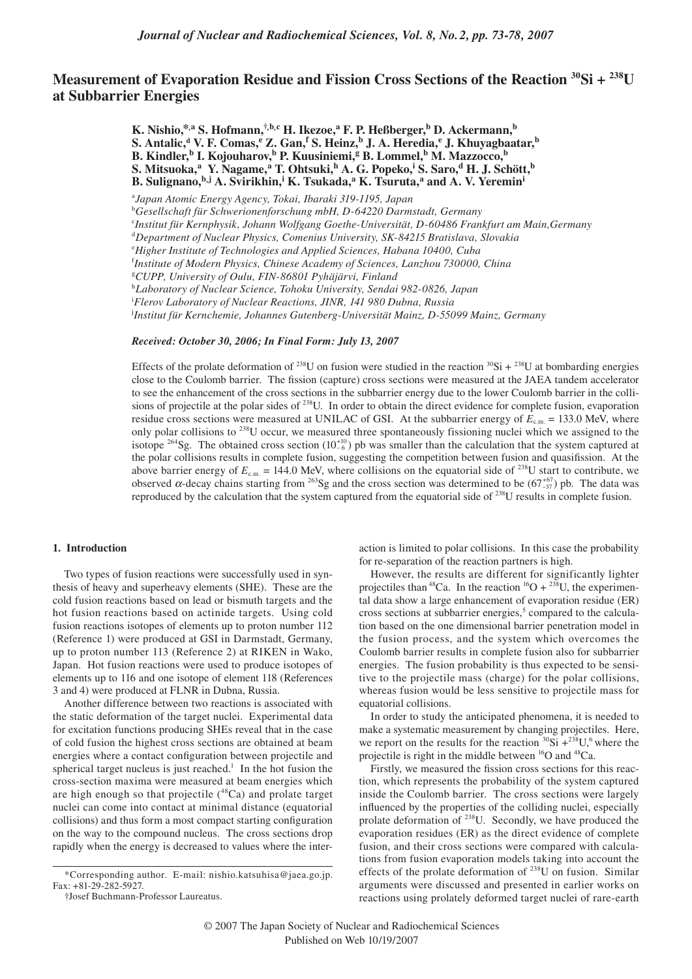# **Measurement of Evaporation Residue and Fission Cross Sections of the Reaction 30Si + 238U at Subbarrier Energies**

 $\mathbf{K}.$  Nishio, $^{*,\mathrm{a}}$  S. Hofmann, $^{*,\mathrm{b,c}}$  H. Ikezoe, $^\mathrm{a}$  F. P. Heßberger, $^\mathrm{b}$  D. Ackermann, $^\mathrm{b}$  $S$ . Antalic,<sup>d</sup> V. F. Comas,<sup>e</sup> Z. Gan,<sup>f</sup> S. Heinz,<sup>b</sup> J. A. Heredia,<sup>e</sup> J. Khuyagbaatar,<sup>b</sup> **B. Kindler,<sup>b</sup> I. Kojouharov,<sup>b</sup> P. Kuusiniemi,<sup>g</sup> B. Lommel,<sup>b</sup> M. Mazzocco,<sup>b</sup>**  $\bf S$ . Mitsuoka, $\bf^a$   $\bf Y$ . Nagame, $\bf^a$  T. Ohtsuki, $\bf^h$  A. G. Popeko, $\bf^i$  S. Saro, $\bf^d$  H. J. Schött, $\bf^b$ **B. Sulignano,b,j A. Svirikhin,<sup>i</sup> K. Tsukada,<sup>a</sup> K. Tsuruta,<sup>a</sup> and A. V. Yeremin<sup>i</sup>**

a *Japan Atomic Energy Agency, Tokai, Ibaraki 319-1195, Japan*

b *Gesellschaft für Schwerionenforschung mbH, D-64220 Darmstadt, Germany*

c *Institut für Kernphysik, Johann Wolfgang Goethe-Universität, D-60486 Frankfurt am Main,Germany*

d *Department of Nuclear Physics, Comenius University, SK-84215 Bratislava, Slovakia*

e *Higher Institute of Technologies and Applied Sciences, Habana 10400, Cuba*

f *Institute of Modern Physics, Chinese Academy of Sciences, Lanzhou 730000, China*

g *CUPP, University of Oulu, FIN-86801 Pyhäjärvi, Finland*

h *Laboratory of Nuclear Science, Tohoku University, Sendai 982-0826, Japan*

i *Flerov Laboratory of Nuclear Reactions, JINR, 141 980 Dubna, Russia*

j *Institut für Kernchemie, Johannes Gutenberg-Universität Mainz, D-55099 Mainz, Germany*

*Received: October 30, 2006; In Final Form: July 13, 2007*

Effects of the prolate deformation of <sup>238</sup>U on fusion were studied in the reaction  ${}^{30}Si + {}^{238}U$  at bombarding energies close to the Coulomb barrier. The fission (capture) cross sections were measured at the JAEA tandem accelerator to see the enhancement of the cross sections in the subbarrier energy due to the lower Coulomb barrier in the collisions of projectile at the polar sides of <sup>238</sup>U. In order to obtain the direct evidence for complete fusion, evaporation residue cross sections were measured at UNILAC of GSI. At the subbarrier energy of  $\vec{E}_{\text{c.m.}} = 133.0 \text{ MeV}$ , where only polar collisions to 238U occur, we measured three spontaneously fissioning nuclei which we assigned to the isotope <sup>264</sup>Sg. The obtained cross section  $(10^{+10}_{-6})$  pb was smaller than the calculation that the system captured at the polar collisions results in complete fusion, suggesting the competition between fusion and quasifission. At the above barrier energy of  $E_{c.m.}$  = 144.0 MeV, where collisions on the equatorial side of <sup>238</sup>U start to contribute, we observed α-decay chains starting from <sup>263</sup>Sg and the cross section was determined to be  $(67\frac{+67}{-37})$  pb. The data was reproduced by the calculation that the system captured from the equatorial side of <sup>238</sup>U results in complete fusion.

## **1. Introduction**

Two types of fusion reactions were successfully used in synthesis of heavy and superheavy elements (SHE). These are the cold fusion reactions based on lead or bismuth targets and the hot fusion reactions based on actinide targets. Using cold fusion reactions isotopes of elements up to proton number 112 (Reference 1) were produced at GSI in Darmstadt, Germany, up to proton number 113 (Reference 2) at RIKEN in Wako, Japan. Hot fusion reactions were used to produce isotopes of elements up to 116 and one isotope of element 118 (References 3 and 4) were produced at FLNR in Dubna, Russia.

Another difference between two reactions is associated with the static deformation of the target nuclei. Experimental data for excitation functions producing SHEs reveal that in the case of cold fusion the highest cross sections are obtained at beam energies where a contact configuration between projectile and spherical target nucleus is just reached.<sup>1</sup> In the hot fusion the cross-section maxima were measured at beam energies which are high enough so that projectile (48Ca) and prolate target nuclei can come into contact at minimal distance (equatorial collisions) and thus form a most compact starting configuration on the way to the compound nucleus. The cross sections drop rapidly when the energy is decreased to values where the interaction is limited to polar collisions. In this case the probability for re-separation of the reaction partners is high.

However, the results are different for significantly lighter projectiles than <sup>48</sup>Ca. In the reaction <sup>16</sup>O + <sup>238</sup>U, the experimental data show a large enhancement of evaporation residue (ER) cross sections at subbarrier energies, $5$  compared to the calculation based on the one dimensional barrier penetration model in the fusion process, and the system which overcomes the Coulomb barrier results in complete fusion also for subbarrier energies. The fusion probability is thus expected to be sensitive to the projectile mass (charge) for the polar collisions, whereas fusion would be less sensitive to projectile mass for equatorial collisions.

In order to study the anticipated phenomena, it is needed to make a systematic measurement by changing projectiles. Here, we report on the results for the reaction  ${}^{30}\text{Si} + {}^{238}\text{U}, {}^{6}$  where the projectile is right in the middle between <sup>16</sup>O and <sup>48</sup>Ca.

Firstly, we measured the fission cross sections for this reaction, which represents the probability of the system captured inside the Coulomb barrier. The cross sections were largely influenced by the properties of the colliding nuclei, especially prolate deformation of <sup>238</sup>U. Secondly, we have produced the evaporation residues (ER) as the direct evidence of complete fusion, and their cross sections were compared with calculations from fusion evaporation models taking into account the effects of the prolate deformation of  $^{238}$ U on fusion. Similar arguments were discussed and presented in earlier works on reactions using prolately deformed target nuclei of rare-earth

<sup>\*</sup>Corresponding author. E-mail: nishio.katsuhisa@jaea.go.jp. Fax: +81-29-282-5927.

<sup>†</sup>Josef Buchmann-Professor Laureatus.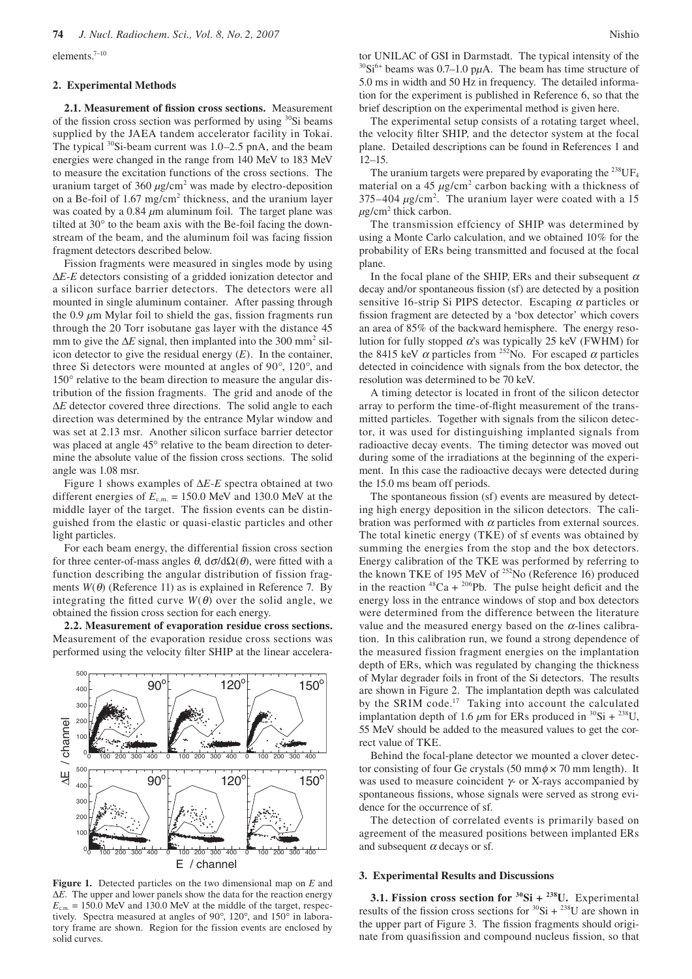elements.7–10

## **2. Experimental Methods**

**2.1. Measurement of fission cross sections.** Measurement of the fission cross section was performed by using  $30Si$  beams supplied by the JAEA tandem accelerator facility in Tokai. The typical <sup>30</sup>Si-beam current was 1.0–2.5 pnA, and the beam energies were changed in the range from 140 MeV to 183 MeV to measure the excitation functions of the cross sections. The uranium target of  $360 \mu g/cm^2$  was made by electro-deposition on a Be-foil of  $1.67 \text{ mg/cm}^2$  thickness, and the uranium layer was coated by a 0.84  $\mu$ m aluminum foil. The target plane was tilted at 30° to the beam axis with the Be-foil facing the downstream of the beam, and the aluminum foil was facing fission fragment detectors described below.

Fission fragments were measured in singles mode by using ∆*E*-*E* detectors consisting of a gridded ionization detector and a silicon surface barrier detectors. The detectors were all mounted in single aluminum container. After passing through the 0.9 *µ*m Mylar foil to shield the gas, fission fragments run through the 20 Torr isobutane gas layer with the distance 45 mm to give the  $\Delta E$  signal, then implanted into the 300 mm<sup>2</sup> silicon detector to give the residual energy (*E*). In the container, three Si detectors were mounted at angles of 90°, 120°, and 150° relative to the beam direction to measure the angular distribution of the fission fragments. The grid and anode of the ∆*E* detector covered three directions. The solid angle to each direction was determined by the entrance Mylar window and was set at 2.13 msr. Another silicon surface barrier detector was placed at angle 45° relative to the beam direction to determine the absolute value of the fission cross sections. The solid angle was 1.08 msr.

Figure 1 shows examples of ∆*E*-*E* spectra obtained at two different energies of  $E_{\text{c.m.}} = 150.0$  MeV and 130.0 MeV at the middle layer of the target. The fission events can be distinguished from the elastic or quasi-elastic particles and other light particles.

For each beam energy, the differential fission cross section for three center-of-mass angles  $\theta$ ,  $d\sigma/d\Omega(\theta)$ , were fitted with a function describing the angular distribution of fission fragments  $W(\theta)$  (Reference 11) as is explained in Reference 7. By integrating the fitted curve  $W(\theta)$  over the solid angle, we obtained the fission cross section for each energy.

**2.2. Measurement of evaporation residue cross sections.**  Measurement of the evaporation residue cross sections was performed using the velocity filter SHIP at the linear accelera-



**Figure 1.** Detected particles on the two dimensional map on *E* and ∆*E*. The upper and lower panels show the data for the reaction energy  $E_{\text{c.m.}}$  = 150.0 MeV and 130.0 MeV at the middle of the target, respectively. Spectra measured at angles of 90°, 120°, and 150° in laboratory frame are shown. Region for the fission events are enclosed by solid curves.

tor UNILAC of GSI in Darmstadt. The typical intensity of the  $30\text{Si}^{6+}$  beams was 0.7–1.0 p $\mu$ A. The beam has time structure of 5.0 ms in width and 50 Hz in frequency. The detailed information for the experiment is published in Reference 6, so that the brief description on the experimental method is given here.

The experimental setup consists of a rotating target wheel, the velocity filter SHIP, and the detector system at the focal plane. Detailed descriptions can be found in References 1 and 12–15.

The uranium targets were prepared by evaporating the  $^{238} \text{UF}_4$ material on a  $45 \mu g/cm^2$  carbon backing with a thickness of  $375-404 \mu g/cm^2$ . The uranium layer were coated with a 15  $\mu$ g/cm<sup>2</sup> thick carbon.

The transmission effciency of SHIP was determined by using a Monte Carlo calculation, and we obtained 10% for the probability of ERs being transmitted and focused at the focal plane.

In the focal plane of the SHIP, ERs and their subsequent  $\alpha$ decay and/or spontaneous fission (sf) are detected by a position sensitive 16-strip Si PIPS detector. Escaping  $\alpha$  particles or fission fragment are detected by a 'box detector' which covers an area of 85% of the backward hemisphere. The energy resolution for fully stopped  $\alpha$ 's was typically 25 keV (FWHM) for the 8415 keV  $\alpha$  particles from <sup>252</sup>No. For escaped  $\alpha$  particles detected in coincidence with signals from the box detector, the resolution was determined to be 70 keV.

A timing detector is located in front of the silicon detector array to perform the time-of-flight measurement of the transmitted particles. Together with signals from the silicon detector, it was used for distinguishing implanted signals from radioactive decay events. The timing detector was moved out during some of the irradiations at the beginning of the experiment. In this case the radioactive decays were detected during the 15.0 ms beam off periods.

The spontaneous fission (sf) events are measured by detecting high energy deposition in the silicon detectors. The calibration was performed with  $\alpha$  particles from external sources. The total kinetic energy (TKE) of sf events was obtained by summing the energies from the stop and the box detectors. Energy calibration of the TKE was performed by referring to the known TKE of 195 MeV of <sup>252</sup>No (Reference 16) produced in the reaction  ${}^{48}Ca + {}^{206}Pb$ . The pulse height deficit and the energy loss in the entrance windows of stop and box detectors were determined from the difference between the literature value and the measured energy based on the  $\alpha$ -lines calibration. In this calibration run, we found a strong dependence of the measured fission fragment energies on the implantation depth of ERs, which was regulated by changing the thickness of Mylar degrader foils in front of the Si detectors. The results are shown in Figure 2. The implantation depth was calculated by the SRIM code.<sup>17</sup> Taking into account the calculated implantation depth of 1.6  $\mu$ m for ERs produced in <sup>30</sup>Si + <sup>238</sup>U, 55 MeV should be added to the measured values to get the correct value of TKE.

Behind the focal-plane detector we mounted a clover detector consisting of four Ge crystals (50 mm $\phi \times 70$  mm length). It was used to measure coincident  $\gamma$  or X-rays accompanied by spontaneous fissions, whose signals were served as strong evidence for the occurrence of sf.

The detection of correlated events is primarily based on agreement of the measured positions between implanted ERs and subsequent  $\alpha$  decays or sf.

#### **3. Experimental Results and Discussions**

**3.1. Fission cross section for**  $30\text{Si} + 238\text{U}$ **.** Experimental results of the fission cross sections for  ${}^{30}Si + {}^{238}U$  are shown in the upper part of Figure 3. The fission fragments should originate from quasifission and compound nucleus fission, so that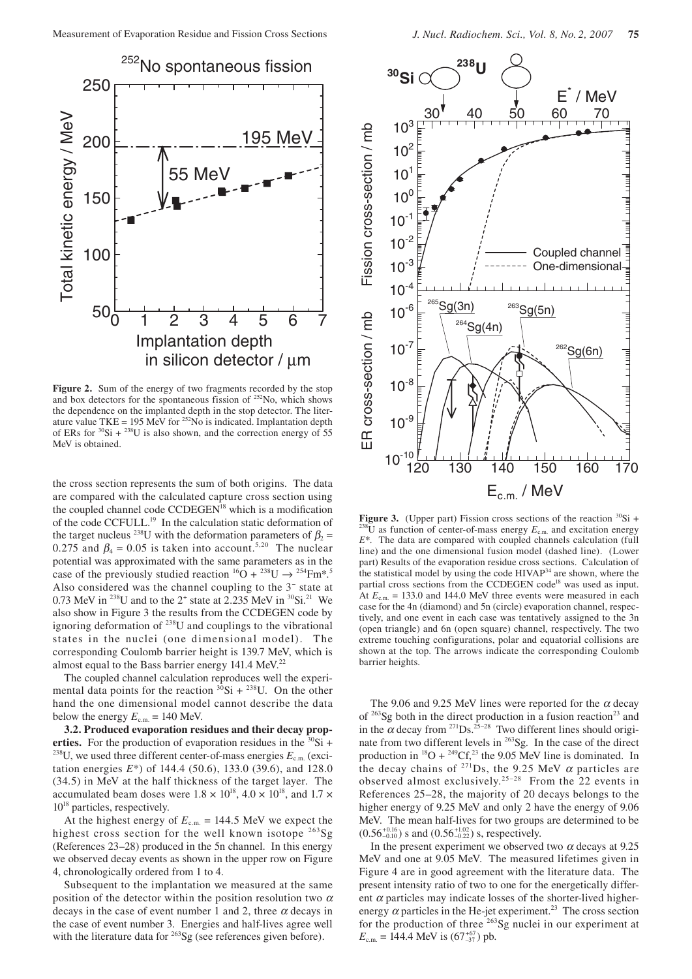

Figure 2. Sum of the energy of two fragments recorded by the stop and box detectors for the spontaneous fission of  $^{252}$ No, which shows the dependence on the implanted depth in the stop detector. The literature value TKE = 195 MeV for  $^{252}$ No is indicated. Implantation depth of ERs for  ${}^{30}Si + {}^{238}U$  is also shown, and the correction energy of 55 MeV is obtained.

the cross section represents the sum of both origins. The data are compared with the calculated capture cross section using the coupled channel code CCDEGEN<sup>18</sup> which is a modification of the code CCFULL.19 In the calculation static deformation of the target nucleus <sup>238</sup>U with the deformation parameters of  $\beta_2$  = 0.275 and  $\beta_4 = 0.05$  is taken into account.<sup>5,20</sup> The nuclear potential was approximated with the same parameters as in the case of the previously studied reaction <sup>16</sup>O + <sup>238</sup>U  $\rightarrow$  <sup>254</sup>Fm<sup>\*</sup>.<sup>5</sup> Also considered was the channel coupling to the 3<sup>-</sup> state at 0.73 MeV in <sup>238</sup>U and to the  $2^+$  state at 2.235 MeV in <sup>30</sup>Si.<sup>21</sup> We also show in Figure 3 the results from the CCDEGEN code by ignoring deformation of  $^{238}U$  and couplings to the vibrational states in the nuclei (one dimensional model). The corresponding Coulomb barrier height is 139.7 MeV, which is almost equal to the Bass barrier energy 141.4 MeV.<sup>22</sup>

The coupled channel calculation reproduces well the experimental data points for the reaction  $\frac{30}{11}$ Si +  $\frac{238}{11}$ U. On the other hand the one dimensional model cannot describe the data below the energy  $E_{\text{c.m.}} = 140 \text{ MeV}$ .

**3.2. Produced evaporation residues and their decay properties.** For the production of evaporation residues in the <sup>30</sup>Si + <sup>238</sup>U, we used three different center-of-mass energies  $E_{\text{c.m.}}$  (excitation energies *E*\*) of 144.4 (50.6), 133.0 (39.6), and 128.0 (34.5) in MeV at the half thickness of the target layer. The accumulated beam doses were  $1.8 \times 10^{18}$ ,  $4.0 \times 10^{18}$ , and  $1.7 \times$  $10^{18}$  particles, respectively.

At the highest energy of  $E_{c.m.} = 144.5$  MeV we expect the highest cross section for the well known isotope  $263$ Sg (References 23–28) produced in the 5n channel. In this energy we observed decay events as shown in the upper row on Figure 4, chronologically ordered from 1 to 4.

Subsequent to the implantation we measured at the same position of the detector within the position resolution two  $\alpha$ decays in the case of event number 1 and 2, three  $\alpha$  decays in the case of event number 3. Energies and half-lives agree well with the literature data for <sup>263</sup>Sg (see references given before).



**Figure 3.** (Upper part) Fission cross sections of the reaction  ${}^{30}\text{Si} + {}^{238}\text{U}$  as function of center-of-mass energy  $E_{\text{c.m.}}$  and excitation energy *E*\*. The data are compared with coupled channels calculation (full line) and the one dimensional fusion model (dashed line). (Lower part) Results of the evaporation residue cross sections. Calculation of the statistical model by using the code HIVAP34 are shown, where the partial cross sections from the CCDEGEN code<sup>18</sup> was used as input. At  $E_{cm} = 133.0$  and 144.0 MeV three events were measured in each case for the 4n (diamond) and 5n (circle) evaporation channel, respectively, and one event in each case was tentatively assigned to the 3n (open triangle) and 6n (open square) channel, respectively. The two extreme touching configurations, polar and equatorial collisions are shown at the top. The arrows indicate the corresponding Coulomb barrier heights.

The 9.06 and 9.25 MeV lines were reported for the  $\alpha$  decay of  $263$ Sg both in the direct production in a fusion reaction<sup>23</sup> and in the  $\alpha$  decay from <sup>271</sup>Ds.<sup>25–28</sup> Two different lines should originate from two different levels in 263Sg. In the case of the direct production in  $^{18}O + {}^{249}Cf, {}^{23}$  the 9.05 MeV line is dominated. In the decay chains of <sup>271</sup>Ds, the 9.25 MeV  $\alpha$  particles are observed almost exclusively.<sup>25-28</sup> From the 22 events in References 25–28, the majority of 20 decays belongs to the higher energy of 9.25 MeV and only 2 have the energy of 9.06 MeV. The mean half-lives for two groups are determined to be  $(0.56_{-0.10}^{+0.16})$  s and  $(0.56_{-0.22}^{+1.02})$  s, respectively.

In the present experiment we observed two  $\alpha$  decays at 9.25 MeV and one at 9.05 MeV. The measured lifetimes given in Figure 4 are in good agreement with the literature data. The present intensity ratio of two to one for the energetically different  $\alpha$  particles may indicate losses of the shorter-lived higherenergy  $\alpha$  particles in the He-jet experiment.<sup>23</sup> The cross section for the production of three  $263$ Sg nuclei in our experiment at  $E_{\text{c.m.}} = 144.4 \text{ MeV is } (67^{+67}_{-37}) \text{ pb.}$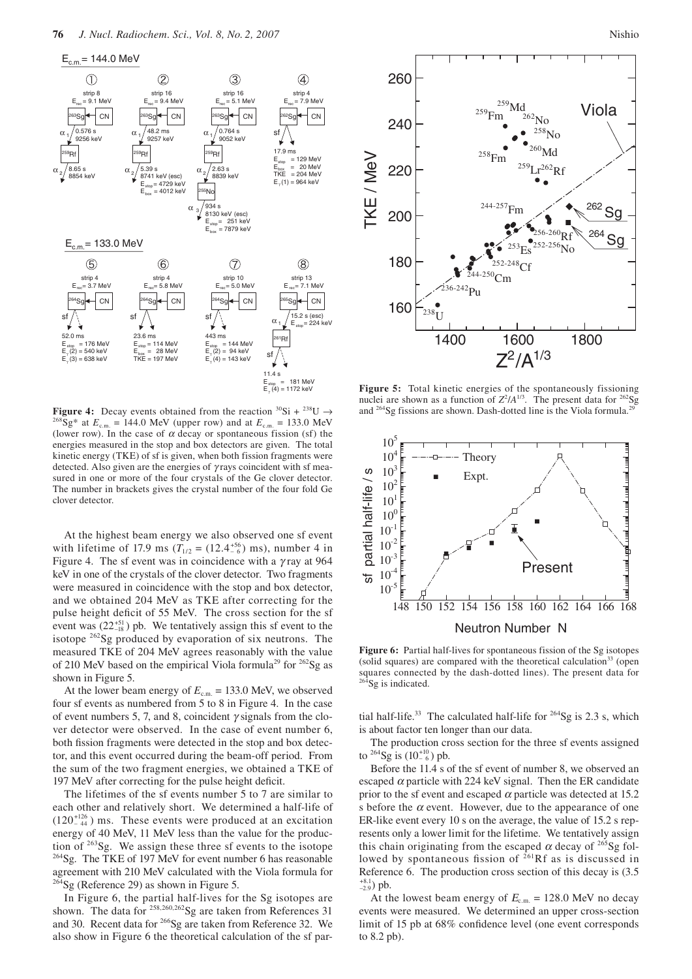$E_{cm}$  = 144.0 MeV



**Figure 4:** Decay events obtained from the reaction  ${}^{30}\text{Si} + {}^{238}\text{U} \rightarrow$ <sup>268</sup>Sg<sup>\*</sup> at  $E_{c.m.} = 144.0 \text{ MeV (upper row) and at } E_{c.m.} = 133.0 \text{ MeV}$ (lower row). In the case of  $\alpha$  decay or spontaneous fission (sf) the energies measured in the stop and box detectors are given. The total kinetic energy (TKE) of sf is given, when both fission fragments were detected. Also given are the energies of  $\gamma$  rays coincident with sf measured in one or more of the four crystals of the Ge clover detector. The number in brackets gives the crystal number of the four fold Ge clover detector.

At the highest beam energy we also observed one sf event with lifetime of 17.9 ms  $(T_{1/2} = (12.4^{+56}_{-6})$  ms), number 4 in Figure 4. The sf event was in coincidence with a  $\gamma$  ray at 964 keV in one of the crystals of the clover detector. Two fragments were measured in coincidence with the stop and box detector, and we obtained 204 MeV as TKE after correcting for the pulse height deficit of 55 MeV. The cross section for the sf event was  $(22^{+51}_{-18})$  pb. We tentatively assign this sf event to the isotope 262Sg produced by evaporation of six neutrons. The measured TKE of 204 MeV agrees reasonably with the value of 210 MeV based on the empirical Viola formula<sup>29</sup> for  $2^{62}$ Sg as shown in Figure 5.

At the lower beam energy of  $E_{cm} = 133.0$  MeV, we observed four sf events as numbered from 5 to 8 in Figure 4. In the case of event numbers 5, 7, and 8, coincident  $\gamma$  signals from the clover detector were observed. In the case of event number 6, both fission fragments were detected in the stop and box detector, and this event occurred during the beam-off period. From the sum of the two fragment energies, we obtained a TKE of 197 MeV after correcting for the pulse height deficit.

The lifetimes of the sf events number 5 to 7 are similar to each other and relatively short. We determined a half-life of  $(120^{+126}_{-44})$  ms. These events were produced at an excitation energy of 40 MeV, 11 MeV less than the value for the production of  $^{263}$ Sg. We assign these three sf events to the isotope  $^{264}$ Sg. The TKE of 197 MeV for event number 6 has reasonable agreement with 210 MeV calculated with the Viola formula for  $^{264}$ Sg (Reference 29) as shown in Figure 5.

In Figure 6, the partial half-lives for the Sg isotopes are shown. The data for  $258,260,262$ Sg are taken from References 31 and 30. Recent data for 266Sg are taken from Reference 32. We also show in Figure 6 the theoretical calculation of the sf par-



**Figure 5:** Total kinetic energies of the spontaneously fissioning nuclei are shown as a function of  $Z^2/A^{1/3}$ . The present data for  ${}^{262}Sg$ and <sup>264</sup>Sg fissions are shown. Dash-dotted line is the Viola formula.<sup>25</sup>



**Figure 6:** Partial half-lives for spontaneous fission of the Sg isotopes (solid squares) are compared with the theoretical calculation<sup>33</sup> (open squares connected by the dash-dotted lines). The present data for <sup>264</sup>Sg is indicated.

tial half-life.<sup>33</sup> The calculated half-life for  $264$ Sg is 2.3 s, which is about factor ten longer than our data.

The production cross section for the three sf events assigned to  $^{264}$ Sg is  $(10^{+10}_{-6})$  pb.

Before the 11.4 s of the sf event of number 8, we observed an escaped  $\alpha$  particle with 224 keV signal. Then the ER candidate prior to the sf event and escaped  $\alpha$  particle was detected at 15.2 s before the  $\alpha$  event. However, due to the appearance of one ER-like event every 10 s on the average, the value of 15.2 s represents only a lower limit for the lifetime. We tentatively assign this chain originating from the escaped  $\alpha$  decay of <sup>265</sup>Sg followed by spontaneous fission of  $^{261}$ Rf as is discussed in Reference 6. The production cross section of this decay is (3.5  $^{+8.1}_{-2.9}$ ) pb.

At the lowest beam energy of  $E_{cm} = 128.0$  MeV no decay events were measured. We determined an upper cross-section limit of 15 pb at 68% confidence level (one event corresponds to 8.2 pb).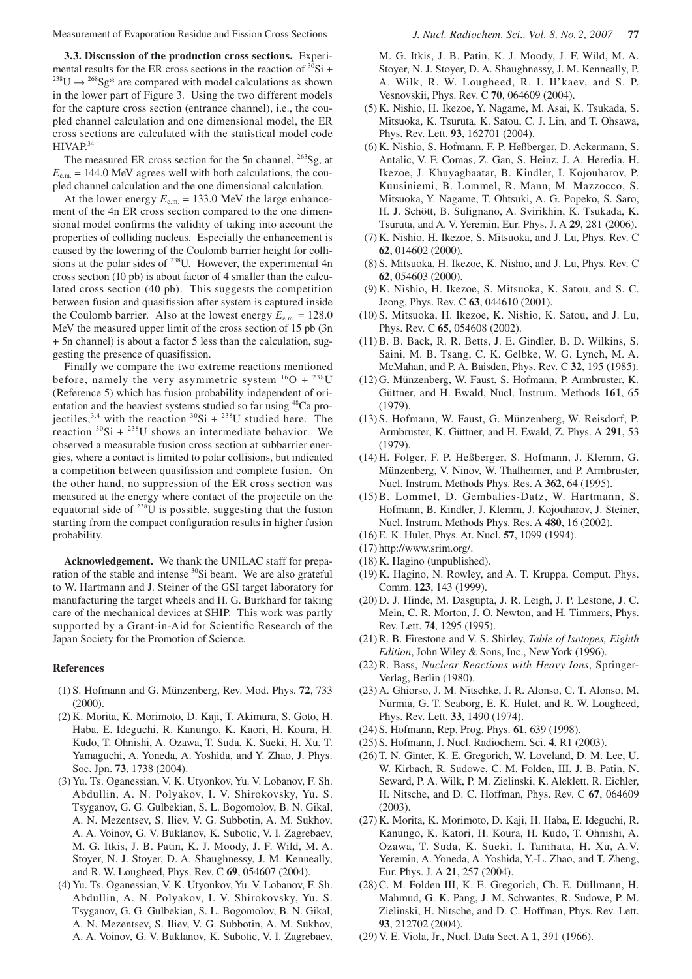**3.3. Discussion of the production cross sections.** Experimental results for the ER cross sections in the reaction of <sup>30</sup>Si + <sup>238</sup>U  $\rightarrow$  <sup>268</sup>Sg\* are compared with model calculations as shown in the lower part of Figure 3. Using the two different models for the capture cross section (entrance channel), i.e., the coupled channel calculation and one dimensional model, the ER cross sections are calculated with the statistical model code HIVAP.<sup>34</sup>

The measured ER cross section for the 5n channel, <sup>263</sup>Sg, at  $E_{cm} = 144.0$  MeV agrees well with both calculations, the coupled channel calculation and the one dimensional calculation.

At the lower energy  $E_{cm} = 133.0$  MeV the large enhancement of the 4n ER cross section compared to the one dimensional model confirms the validity of taking into account the properties of colliding nucleus. Especially the enhancement is caused by the lowering of the Coulomb barrier height for collisions at the polar sides of <sup>238</sup>U. However, the experimental 4n cross section (10 pb) is about factor of 4 smaller than the calculated cross section (40 pb). This suggests the competition between fusion and quasifission after system is captured inside the Coulomb barrier. Also at the lowest energy  $E_{cm} = 128.0$ MeV the measured upper limit of the cross section of 15 pb (3n + 5n channel) is about a factor 5 less than the calculation, suggesting the presence of quasifission.

Finally we compare the two extreme reactions mentioned before, namely the very asymmetric system  ${}^{16}O + {}^{238}U$ (Reference 5) which has fusion probability independent of orientation and the heaviest systems studied so far using <sup>48</sup>Ca projectiles,<sup>3,4</sup> with the reaction  ${}^{30}Si + {}^{238}U$  studied here. The reaction  ${}^{30}\text{Si} + {}^{238}\text{U}$  shows an intermediate behavior. We observed a measurable fusion cross section at subbarrier energies, where a contact is limited to polar collisions, but indicated a competition between quasifission and complete fusion. On the other hand, no suppression of the ER cross section was measured at the energy where contact of the projectile on the equatorial side of  $^{238}U$  is possible, suggesting that the fusion starting from the compact configuration results in higher fusion probability.

**Acknowledgement.** We thank the UNILAC staff for preparation of the stable and intense <sup>30</sup>Si beam. We are also grateful to W. Hartmann and J. Steiner of the GSI target laboratory for manufacturing the target wheels and H. G. Burkhard for taking care of the mechanical devices at SHIP. This work was partly supported by a Grant-in-Aid for Scientific Research of the Japan Society for the Promotion of Science.

#### **References**

- (1) S. Hofmann and G. Münzenberg, Rev. Mod. Phys. **72**, 733 (2000).
- (2) K. Morita, K. Morimoto, D. Kaji, T. Akimura, S. Goto, H. Haba, E. Ideguchi, R. Kanungo, K. Kaori, H. Koura, H. Kudo, T. Ohnishi, A. Ozawa, T. Suda, K. Sueki, H. Xu, T. Yamaguchi, A. Yoneda, A. Yoshida, and Y. Zhao, J. Phys. Soc. Jpn. **73**, 1738 (2004).
- (3) Yu. Ts. Oganessian, V. K. Utyonkov, Yu. V. Lobanov, F. Sh. Abdullin, A. N. Polyakov, I. V. Shirokovsky, Yu. S. Tsyganov, G. G. Gulbekian, S. L. Bogomolov, B. N. Gikal, A. N. Mezentsev, S. Iliev, V. G. Subbotin, A. M. Sukhov, A. A. Voinov, G. V. Buklanov, K. Subotic, V. I. Zagrebaev, M. G. Itkis, J. B. Patin, K. J. Moody, J. F. Wild, M. A. Stoyer, N. J. Stoyer, D. A. Shaughnessy, J. M. Kenneally, and R. W. Lougheed, Phys. Rev. C **69**, 054607 (2004).
- (4) Yu. Ts. Oganessian, V. K. Utyonkov, Yu. V. Lobanov, F. Sh. Abdullin, A. N. Polyakov, I. V. Shirokovsky, Yu. S. Tsyganov, G. G. Gulbekian, S. L. Bogomolov, B. N. Gikal, A. N. Mezentsev, S. Iliev, V. G. Subbotin, A. M. Sukhov, A. A. Voinov, G. V. Buklanov, K. Subotic, V. I. Zagrebaev,

M. G. Itkis, J. B. Patin, K. J. Moody, J. F. Wild, M. A. Stoyer, N. J. Stoyer, D. A. Shaughnessy, J. M. Kenneally, P. A. Wilk, R. W. Lougheed, R. I. Il'kaev, and S. P. Vesnovskii, Phys. Rev. C **70**, 064609 (2004).

- (5) K. Nishio, H. Ikezoe, Y. Nagame, M. Asai, K. Tsukada, S. Mitsuoka, K. Tsuruta, K. Satou, C. J. Lin, and T. Ohsawa, Phys. Rev. Lett. **93**, 162701 (2004).
- (6) K. Nishio, S. Hofmann, F. P. Heßberger, D. Ackermann, S. Antalic, V. F. Comas, Z. Gan, S. Heinz, J. A. Heredia, H. Ikezoe, J. Khuyagbaatar, B. Kindler, I. Kojouharov, P. Kuusiniemi, B. Lommel, R. Mann, M. Mazzocco, S. Mitsuoka, Y. Nagame, T. Ohtsuki, A. G. Popeko, S. Saro, H. J. Schött, B. Sulignano, A. Svirikhin, K. Tsukada, K. Tsuruta, and A. V. Yeremin, Eur. Phys. J. A **29**, 281 (2006).
- (7) K. Nishio, H. Ikezoe, S. Mitsuoka, and J. Lu, Phys. Rev. C **62**, 014602 (2000).
- (8) S. Mitsuoka, H. Ikezoe, K. Nishio, and J. Lu, Phys. Rev. C **62**, 054603 (2000).
- (9) K. Nishio, H. Ikezoe, S. Mitsuoka, K. Satou, and S. C. Jeong, Phys. Rev. C **63**, 044610 (2001).
- (10) S. Mitsuoka, H. Ikezoe, K. Nishio, K. Satou, and J. Lu, Phys. Rev. C **65**, 054608 (2002).
- (11) B. B. Back, R. R. Betts, J. E. Gindler, B. D. Wilkins, S. Saini, M. B. Tsang, C. K. Gelbke, W. G. Lynch, M. A. McMahan, and P. A. Baisden, Phys. Rev. C **32**, 195 (1985).
- (12) G. Münzenberg, W. Faust, S. Hofmann, P. Armbruster, K. Güttner, and H. Ewald, Nucl. Instrum. Methods **161**, 65 (1979).
- (13) S. Hofmann, W. Faust, G. Münzenberg, W. Reisdorf, P. Armbruster, K. Güttner, and H. Ewald, Z. Phys. A **291**, 53 (1979).
- (14) H. Folger, F. P. Heßberger, S. Hofmann, J. Klemm, G. Münzenberg, V. Ninov, W. Thalheimer, and P. Armbruster, Nucl. Instrum. Methods Phys. Res. A **362**, 64 (1995).
- (15) B. Lommel, D. Gembalies-Datz, W. Hartmann, S. Hofmann, B. Kindler, J. Klemm, J. Kojouharov, J. Steiner, Nucl. Instrum. Methods Phys. Res. A **480**, 16 (2002).
- (16) E. K. Hulet, Phys. At. Nucl. **57**, 1099 (1994).
- (17) http://www.srim.org/.
- (18) K. Hagino (unpublished).
- (19) K. Hagino, N. Rowley, and A. T. Kruppa, Comput. Phys. Comm. **123**, 143 (1999).
- (20) D. J. Hinde, M. Dasgupta, J. R. Leigh, J. P. Lestone, J. C. Mein, C. R. Morton, J. O. Newton, and H. Timmers, Phys. Rev. Lett. **74**, 1295 (1995).
- (21) R. B. Firestone and V. S. Shirley, *Table of Isotopes, Eighth Edition*, John Wiley & Sons, Inc., New York (1996).
- (22) R. Bass, *Nuclear Reactions with Heavy Ions*, Springer-Verlag, Berlin (1980).
- (23) A. Ghiorso, J. M. Nitschke, J. R. Alonso, C. T. Alonso, M. Nurmia, G. T. Seaborg, E. K. Hulet, and R. W. Lougheed, Phys. Rev. Lett. **33**, 1490 (1974).
- (24) S. Hofmann, Rep. Prog. Phys. **61**, 639 (1998).
- (25) S. Hofmann, J. Nucl. Radiochem. Sci. **4**, R1 (2003).
- (26) T. N. Ginter, K. E. Gregorich, W. Loveland, D. M. Lee, U. W. Kirbach, R. Sudowe, C. M. Folden, III, J. B. Patin, N. Seward, P. A. Wilk, P. M. Zielinski, K. Aleklett, R. Eichler, H. Nitsche, and D. C. Hoffman, Phys. Rev. C **67**, 064609 (2003).
- (27) K. Morita, K. Morimoto, D. Kaji, H. Haba, E. Ideguchi, R. Kanungo, K. Katori, H. Koura, H. Kudo, T. Ohnishi, A. Ozawa, T. Suda, K. Sueki, I. Tanihata, H. Xu, A.V. Yeremin, A. Yoneda, A. Yoshida, Y.-L. Zhao, and T. Zheng, Eur. Phys. J. A **21**, 257 (2004).
- (28) C. M. Folden III, K. E. Gregorich, Ch. E. Düllmann, H. Mahmud, G. K. Pang, J. M. Schwantes, R. Sudowe, P. M. Zielinski, H. Nitsche, and D. C. Hoffman, Phys. Rev. Lett. **93**, 212702 (2004).
- (29) V. E. Viola, Jr., Nucl. Data Sect. A **1**, 391 (1966).